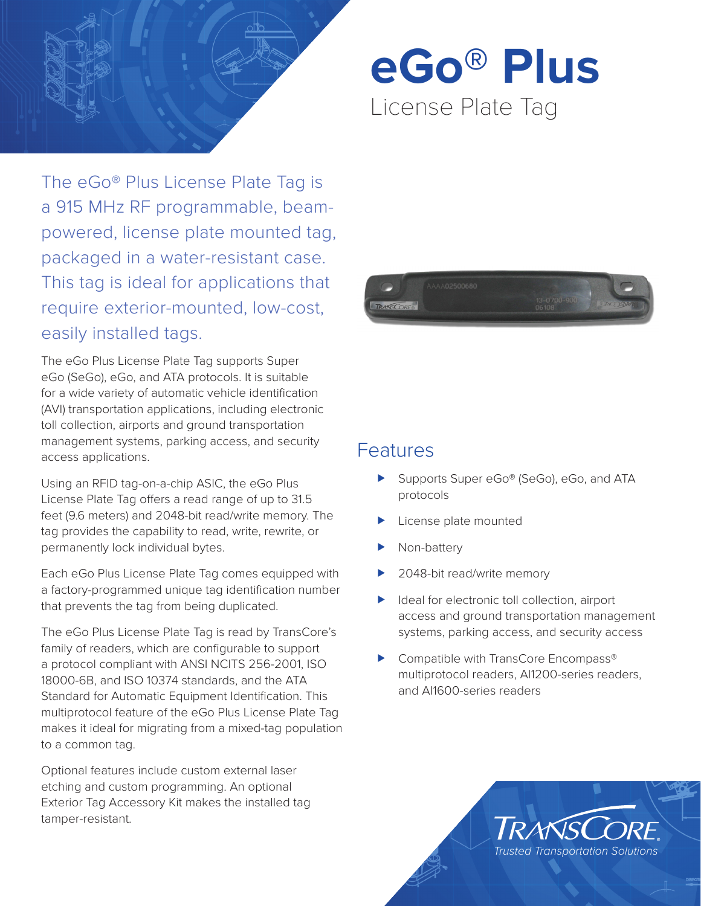

**eGo® Plus** License Plate Tag

The eGo® Plus License Plate Tag is a 915 MHz RF programmable, beampowered, license plate mounted tag, packaged in a water-resistant case. This tag is ideal for applications that require exterior-mounted, low-cost, easily installed tags.

The eGo Plus License Plate Tag supports Super eGo (SeGo), eGo, and ATA protocols. It is suitable for a wide variety of automatic vehicle identification (AVI) transportation applications, including electronic toll collection, airports and ground transportation management systems, parking access, and security access applications.

Using an RFID tag-on-a-chip ASIC, the eGo Plus License Plate Tag offers a read range of up to 31.5 feet (9.6 meters) and 2048-bit read/write memory. The tag provides the capability to read, write, rewrite, or permanently lock individual bytes.

Each eGo Plus License Plate Tag comes equipped with a factory-programmed unique tag identification number that prevents the tag from being duplicated.

The eGo Plus License Plate Tag is read by TransCore's family of readers, which are configurable to support a protocol compliant with ANSI NCITS 256-2001, ISO 18000-6B, and ISO 10374 standards, and the ATA Standard for Automatic Equipment Identification. This multiprotocol feature of the eGo Plus License Plate Tag makes it ideal for migrating from a mixed-tag population to a common tag.

Optional features include custom external laser etching and custom programming. An optional Exterior Tag Accessory Kit makes the installed tag tamper-resistant.



# **Features**

- Supports Super eGo® (SeGo), eGo, and ATA protocols
- License plate mounted
- Non-battery
- 2048-bit read/write memory
- $\blacktriangleright$  Ideal for electronic toll collection, airport access and ground transportation management systems, parking access, and security access
- Compatible with TransCore Encompass<sup>®</sup> multiprotocol readers, AI1200-series readers, and AI1600-series readers